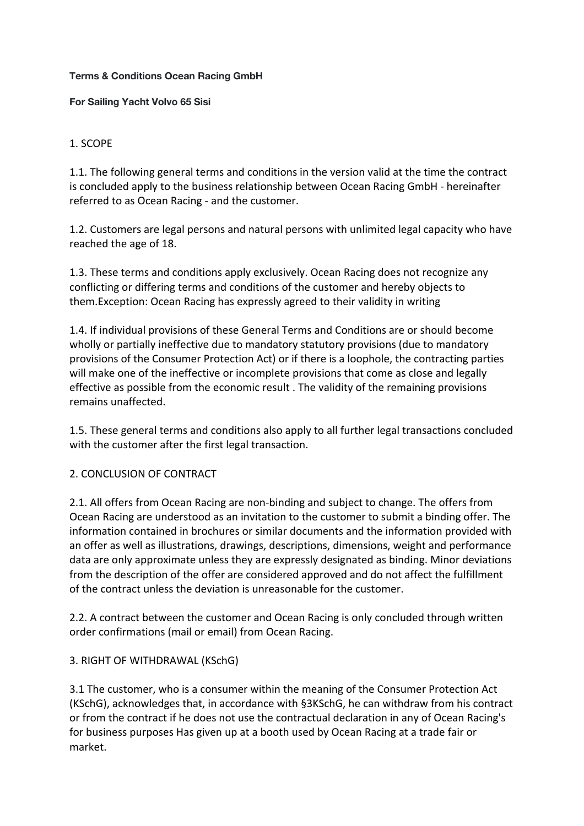#### **Terms & Conditions Ocean Racing GmbH**

**For Sailing Yacht Volvo 65 Sisi**

### 1. SCOPE

1.1. The following general terms and conditions in the version valid at the time the contract is concluded apply to the business relationship between Ocean Racing GmbH - hereinafter referred to as Ocean Racing - and the customer.

1.2. Customers are legal persons and natural persons with unlimited legal capacity who have reached the age of 18.

1.3. These terms and conditions apply exclusively. Ocean Racing does not recognize any conflicting or differing terms and conditions of the customer and hereby objects to them.Exception: Ocean Racing has expressly agreed to their validity in writing

1.4. If individual provisions of these General Terms and Conditions are or should become wholly or partially ineffective due to mandatory statutory provisions (due to mandatory provisions of the Consumer Protection Act) or if there is a loophole, the contracting parties will make one of the ineffective or incomplete provisions that come as close and legally effective as possible from the economic result . The validity of the remaining provisions remains unaffected.

1.5. These general terms and conditions also apply to all further legal transactions concluded with the customer after the first legal transaction.

#### 2. CONCLUSION OF CONTRACT

2.1. All offers from Ocean Racing are non-binding and subject to change. The offers from Ocean Racing are understood as an invitation to the customer to submit a binding offer. The information contained in brochures or similar documents and the information provided with an offer as well as illustrations, drawings, descriptions, dimensions, weight and performance data are only approximate unless they are expressly designated as binding. Minor deviations from the description of the offer are considered approved and do not affect the fulfillment of the contract unless the deviation is unreasonable for the customer.

2.2. A contract between the customer and Ocean Racing is only concluded through written order confirmations (mail or email) from Ocean Racing.

#### 3. RIGHT OF WITHDRAWAL (KSchG)

3.1 The customer, who is a consumer within the meaning of the Consumer Protection Act (KSchG), acknowledges that, in accordance with §3KSchG, he can withdraw from his contract or from the contract if he does not use the contractual declaration in any of Ocean Racing's for business purposes Has given up at a booth used by Ocean Racing at a trade fair or market.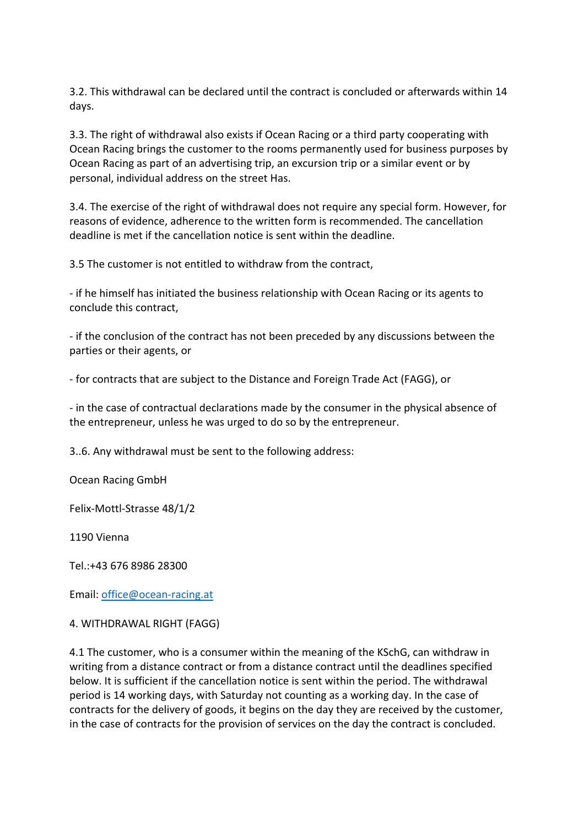3.2. This withdrawal can be declared until the contract is concluded or afterwards within 14 days.

3.3. The right of withdrawal also exists if Ocean Racing or a third party cooperating with Ocean Racing brings the customer to the rooms permanently used for business purposes by Ocean Racing as part of an advertising trip, an excursion trip or a similar event or by personal, individual address on the street Has.

3.4. The exercise of the right of withdrawal does not require any special form. However, for reasons of evidence, adherence to the written form is recommended. The cancellation deadline is met if the cancellation notice is sent within the deadline.

3.5 The customer is not entitled to withdraw from the contract,

- if he himself has initiated the business relationship with Ocean Racing or its agents to conclude this contract,

- if the conclusion of the contract has not been preceded by any discussions between the parties or their agents, or

- for contracts that are subject to the Distance and Foreign Trade Act (FAGG), or

- in the case of contractual declarations made by the consumer in the physical absence of the entrepreneur, unless he was urged to do so by the entrepreneur.

3..6. Any withdrawal must be sent to the following address:

Ocean Racing GmbH

Felix-Mottl-Strasse 48/1/2

1190 Vienna

Tel.:+43 676 8986 28300

Email: office@ocean-racing.at

#### 4. WITHDRAWAL RIGHT (FAGG)

4.1 The customer, who is a consumer within the meaning of the KSchG, can withdraw in writing from a distance contract or from a distance contract until the deadlines specified below. It is sufficient if the cancellation notice is sent within the period. The withdrawal period is 14 working days, with Saturday not counting as a working day. In the case of contracts for the delivery of goods, it begins on the day they are received by the customer, in the case of contracts for the provision of services on the day the contract is concluded.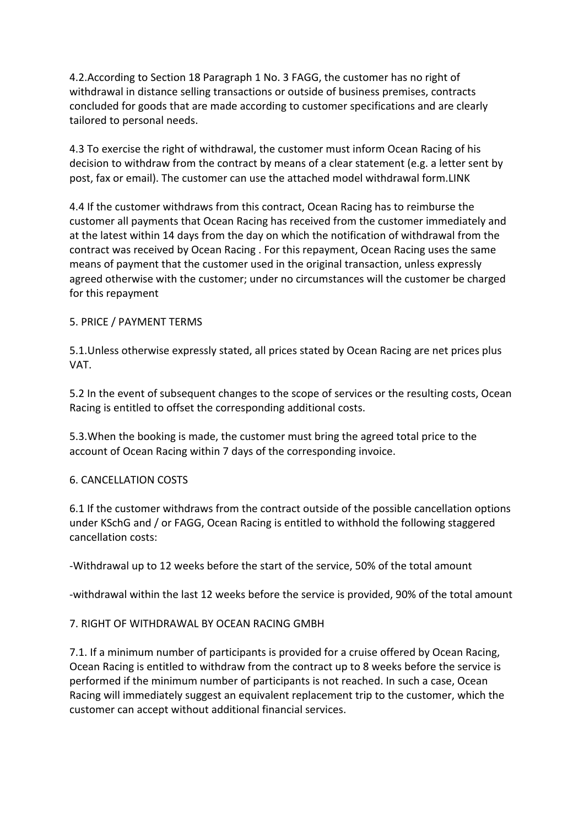4.2.According to Section 18 Paragraph 1 No. 3 FAGG, the customer has no right of withdrawal in distance selling transactions or outside of business premises, contracts concluded for goods that are made according to customer specifications and are clearly tailored to personal needs.

4.3 To exercise the right of withdrawal, the customer must inform Ocean Racing of his decision to withdraw from the contract by means of a clear statement (e.g. a letter sent by post, fax or email). The customer can use the attached model withdrawal form.LINK

4.4 If the customer withdraws from this contract, Ocean Racing has to reimburse the customer all payments that Ocean Racing has received from the customer immediately and at the latest within 14 days from the day on which the notification of withdrawal from the contract was received by Ocean Racing . For this repayment, Ocean Racing uses the same means of payment that the customer used in the original transaction, unless expressly agreed otherwise with the customer; under no circumstances will the customer be charged for this repayment

### 5. PRICE / PAYMENT TERMS

5.1.Unless otherwise expressly stated, all prices stated by Ocean Racing are net prices plus VAT.

5.2 In the event of subsequent changes to the scope of services or the resulting costs, Ocean Racing is entitled to offset the corresponding additional costs.

5.3.When the booking is made, the customer must bring the agreed total price to the account of Ocean Racing within 7 days of the corresponding invoice.

# 6. CANCELLATION COSTS

6.1 If the customer withdraws from the contract outside of the possible cancellation options under KSchG and / or FAGG, Ocean Racing is entitled to withhold the following staggered cancellation costs:

-Withdrawal up to 12 weeks before the start of the service, 50% of the total amount

-withdrawal within the last 12 weeks before the service is provided, 90% of the total amount

#### 7. RIGHT OF WITHDRAWAL BY OCEAN RACING GMBH

7.1. If a minimum number of participants is provided for a cruise offered by Ocean Racing, Ocean Racing is entitled to withdraw from the contract up to 8 weeks before the service is performed if the minimum number of participants is not reached. In such a case, Ocean Racing will immediately suggest an equivalent replacement trip to the customer, which the customer can accept without additional financial services.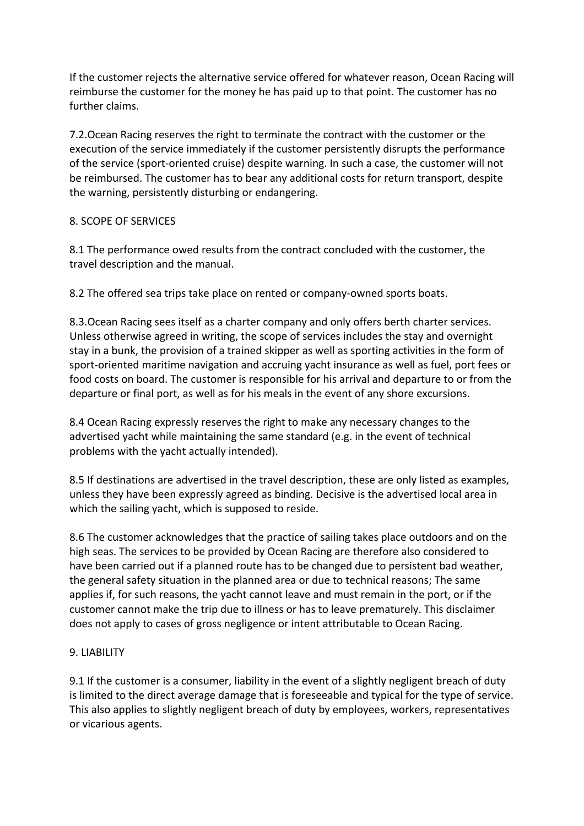If the customer rejects the alternative service offered for whatever reason, Ocean Racing will reimburse the customer for the money he has paid up to that point. The customer has no further claims.

7.2.Ocean Racing reserves the right to terminate the contract with the customer or the execution of the service immediately if the customer persistently disrupts the performance of the service (sport-oriented cruise) despite warning. In such a case, the customer will not be reimbursed. The customer has to bear any additional costs for return transport, despite the warning, persistently disturbing or endangering.

# 8. SCOPE OF SERVICES

8.1 The performance owed results from the contract concluded with the customer, the travel description and the manual.

8.2 The offered sea trips take place on rented or company-owned sports boats.

8.3.Ocean Racing sees itself as a charter company and only offers berth charter services. Unless otherwise agreed in writing, the scope of services includes the stay and overnight stay in a bunk, the provision of a trained skipper as well as sporting activities in the form of sport-oriented maritime navigation and accruing yacht insurance as well as fuel, port fees or food costs on board. The customer is responsible for his arrival and departure to or from the departure or final port, as well as for his meals in the event of any shore excursions.

8.4 Ocean Racing expressly reserves the right to make any necessary changes to the advertised yacht while maintaining the same standard (e.g. in the event of technical problems with the yacht actually intended).

8.5 If destinations are advertised in the travel description, these are only listed as examples, unless they have been expressly agreed as binding. Decisive is the advertised local area in which the sailing yacht, which is supposed to reside.

8.6 The customer acknowledges that the practice of sailing takes place outdoors and on the high seas. The services to be provided by Ocean Racing are therefore also considered to have been carried out if a planned route has to be changed due to persistent bad weather, the general safety situation in the planned area or due to technical reasons; The same applies if, for such reasons, the yacht cannot leave and must remain in the port, or if the customer cannot make the trip due to illness or has to leave prematurely. This disclaimer does not apply to cases of gross negligence or intent attributable to Ocean Racing.

# 9. LIABILITY

9.1 If the customer is a consumer, liability in the event of a slightly negligent breach of duty is limited to the direct average damage that is foreseeable and typical for the type of service. This also applies to slightly negligent breach of duty by employees, workers, representatives or vicarious agents.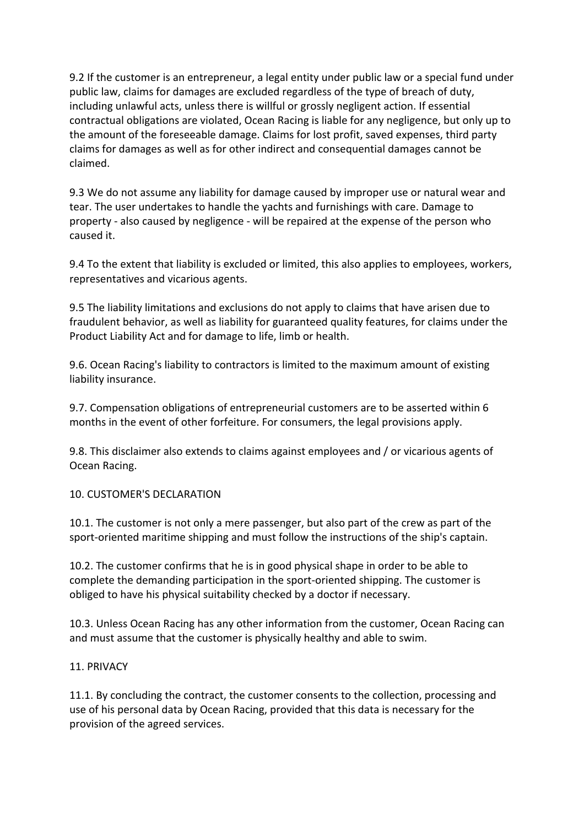9.2 If the customer is an entrepreneur, a legal entity under public law or a special fund under public law, claims for damages are excluded regardless of the type of breach of duty, including unlawful acts, unless there is willful or grossly negligent action. If essential contractual obligations are violated, Ocean Racing is liable for any negligence, but only up to the amount of the foreseeable damage. Claims for lost profit, saved expenses, third party claims for damages as well as for other indirect and consequential damages cannot be claimed.

9.3 We do not assume any liability for damage caused by improper use or natural wear and tear. The user undertakes to handle the yachts and furnishings with care. Damage to property - also caused by negligence - will be repaired at the expense of the person who caused it.

9.4 To the extent that liability is excluded or limited, this also applies to employees, workers, representatives and vicarious agents.

9.5 The liability limitations and exclusions do not apply to claims that have arisen due to fraudulent behavior, as well as liability for guaranteed quality features, for claims under the Product Liability Act and for damage to life, limb or health.

9.6. Ocean Racing's liability to contractors is limited to the maximum amount of existing liability insurance.

9.7. Compensation obligations of entrepreneurial customers are to be asserted within 6 months in the event of other forfeiture. For consumers, the legal provisions apply.

9.8. This disclaimer also extends to claims against employees and / or vicarious agents of Ocean Racing.

# 10. CUSTOMER'S DECLARATION

10.1. The customer is not only a mere passenger, but also part of the crew as part of the sport-oriented maritime shipping and must follow the instructions of the ship's captain.

10.2. The customer confirms that he is in good physical shape in order to be able to complete the demanding participation in the sport-oriented shipping. The customer is obliged to have his physical suitability checked by a doctor if necessary.

10.3. Unless Ocean Racing has any other information from the customer, Ocean Racing can and must assume that the customer is physically healthy and able to swim.

#### 11. PRIVACY

11.1. By concluding the contract, the customer consents to the collection, processing and use of his personal data by Ocean Racing, provided that this data is necessary for the provision of the agreed services.